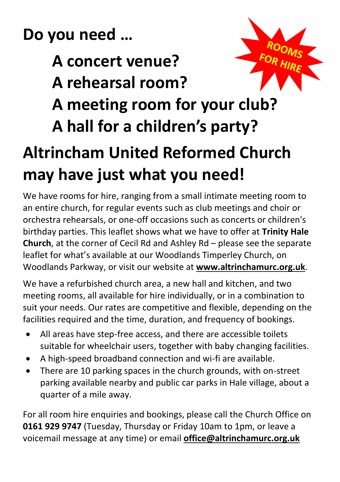**Do you need …**

## **A concert venue?**

**A rehearsal room?**



- **A meeting room for your club?**
- **A hall for a children's party?**

## **Altrincham United Reformed Church may have just what you need!**

We have rooms for hire, ranging from a small intimate meeting room to an entire church, for regular events such as club meetings and choir or orchestra rehearsals, or one-off occasions such as concerts or children's birthday parties. This leaflet shows what we have to offer at **Trinity Hale Church**, at the corner of Cecil Rd and Ashley Rd – please see the separate leaflet for what's available at our Woodlands Timperley Church, on Woodlands Parkway, or visit our website at **[www.altrinchamurc.org.uk](https://d.docs.live.net/325f97e54f4f1277/SEW-O/AURC/Website/www.altrinchamurc.org.uk)**.

We have a refurbished church area, a new hall and kitchen, and two meeting rooms, all available for hire individually, or in a combination to suit your needs. Our rates are competitive and flexible, depending on the facilities required and the time, duration, and frequency of bookings.

- All areas have step-free access, and there are accessible toilets suitable for wheelchair users, together with baby changing facilities.
- A high-speed broadband connection and wi-fi are available.
- There are 10 parking spaces in the church grounds, with on-street parking available nearby and public car parks in Hale village, about a quarter of a mile away.

For all room hire enquiries and bookings, please call the Church Office on **0161 929 9747** (Tuesday, Thursday or Friday 10am to 1pm, or leave a voicemail message at any time) or email **[office@altrinchamurc.org.uk](mailto:office@altrinchamurc.org.uk)**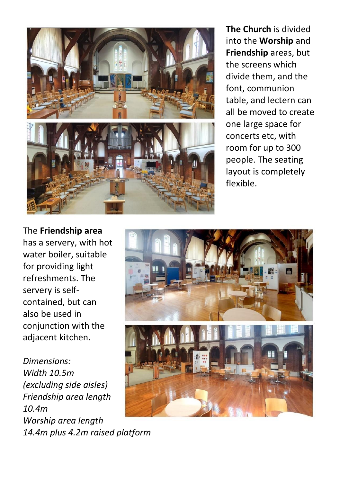

**The Church** is divided into the **Worship** and **Friendship** areas, but the screens which divide them, and the font, communion table, and lectern can all be moved to create one large space for concerts etc, with room for up to 300 people. The seating layout is completely flexible.

The **Friendship area** has a servery, with hot water boiler, suitable for providing light refreshments. The servery is selfcontained, but can also be used in conjunction with the adjacent kitchen.

*Dimensions: Width 10.5m (excluding side aisles) Friendship area length 10.4m Worship area length 14.4m plus 4.2m raised platform*

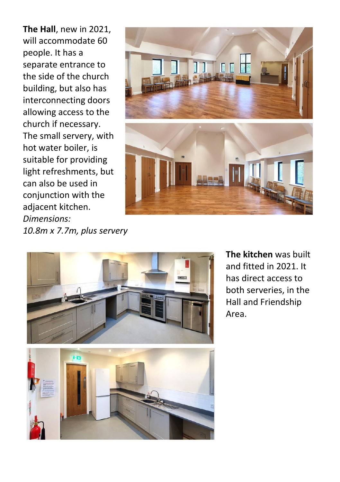**The Hall**, new in 2021, will accommodate 60 people. It has a separate entrance to the side of the church building, but also has interconnecting doors allowing access to the church if necessary. The small servery, with hot water boiler, is suitable for providing light refreshments, but can also be used in conjunction with the adjacent kitchen. *Dimensions: 10.8m x 7.7m, plus servery*





**The kitchen** was built and fitted in 2021. It has direct access to both serveries, in the Hall and Friendship Area.